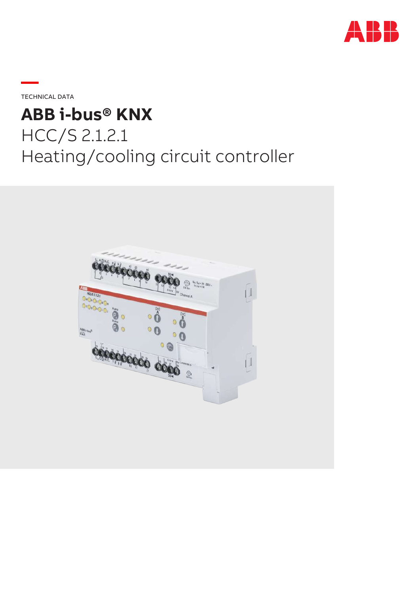

**—**TECHNICAL DATA

# **ABB i-bus® KNX** HCC/S 2.1.2.1 Heating/cooling circuit controller

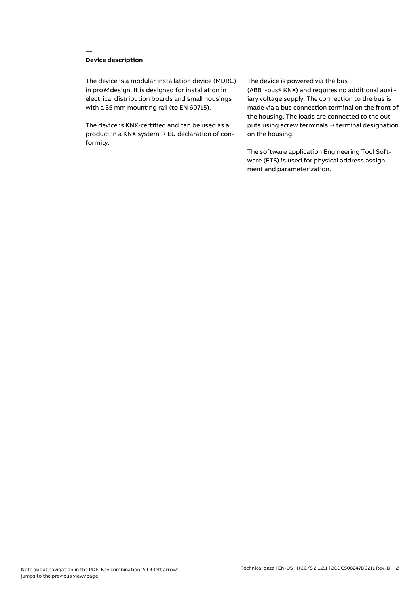## **Device description**

**—**

The device is a modular installation device (MDRC) in proM design. It is designed for installation in electrical distribution boards and small housings with a 35 mm mounting rail (to EN 60715).

The device is KNX-certified and can be used as a product in a KNX system → EU declaration of conformity.

#### The device is powered via the bus

(ABB i-bus® KNX) and requires no additional auxiliary voltage supply. The connection to the bus is made via a bus connection terminal on the front of the housing. The loads are connected to the outputs using screw terminals → terminal designation on the housing.

The software application Engineering Tool Software (ETS) is used for physical address assignment and parameterization.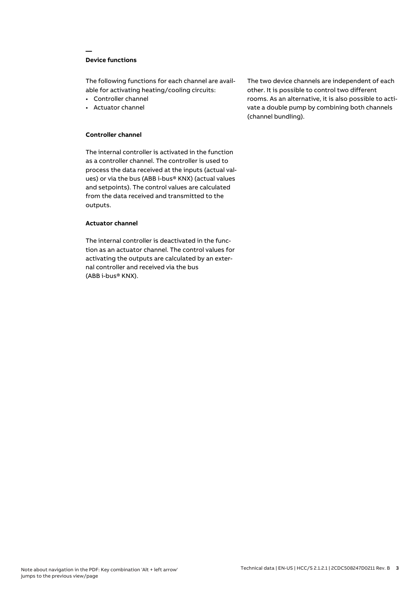## **Device functions**

**—**

The following functions for each channel are available for activating heating/cooling circuits:

- Controller channel
- Actuator channel

## **Controller channel**

The internal controller is activated in the function as a controller channel. The controller is used to process the data received at the inputs (actual values) or via the bus (ABB i-bus® KNX) (actual values and setpoints). The control values are calculated from the data received and transmitted to the outputs.

#### **Actuator channel**

The internal controller is deactivated in the function as an actuator channel. The control values for activating the outputs are calculated by an external controller and received via the bus (ABB i-bus® KNX).

The two device channels are independent of each other. It is possible to control two different rooms. As an alternative, it is also possible to activate a double pump by combining both channels (channel bundling).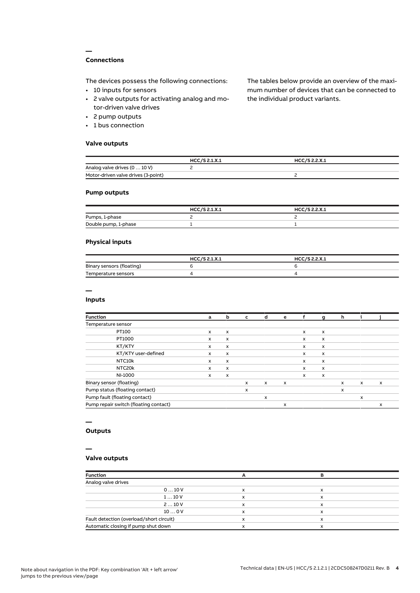## **Connections**

**—**

The devices possess the following connections:

- 10 inputs for sensors
- 2 valve outputs for activating analog and motor-driven valve drives
- 2 pump outputs
- 1 bus connection

#### **Valve outputs**

The tables below provide an overview of the maximum number of devices that can be connected to the individual product variants.

|                                     | HCC/S 2.1.X.1 | HCC/S 2.2.X.1 |  |
|-------------------------------------|---------------|---------------|--|
| Analog valve drives (0  10 V)       |               |               |  |
| Motor-driven valve drives (3-point) |               |               |  |

### **Pump outputs**

|                      | HCC/S 2.1.X.1 | HCC/S 2.2.X.1 |
|----------------------|---------------|---------------|
| Pumps, 1-phase       |               |               |
| Double pump, 1-phase |               |               |

### **Physical inputs**

|                           | HCC/S 2.1.X.1 | HCC/S 2.2.X.1 |
|---------------------------|---------------|---------------|
| Binary sensors (floating) |               |               |
| Temperature sensors       |               |               |

## **—**

#### **Inputs**

| <b>Function</b>                       | a            | b                         | c            | d            | e                         |              | g                         | h |              |                           |
|---------------------------------------|--------------|---------------------------|--------------|--------------|---------------------------|--------------|---------------------------|---|--------------|---------------------------|
| Temperature sensor                    |              |                           |              |              |                           |              |                           |   |              |                           |
| PT100                                 | $\mathsf{x}$ | $\boldsymbol{\mathsf{x}}$ |              |              |                           | $\mathsf{x}$ | $\boldsymbol{\mathsf{x}}$ |   |              |                           |
| PT1000                                | $\times$     | $\mathsf{x}$              |              |              |                           | $\mathsf{x}$ | $\boldsymbol{\mathsf{x}}$ |   |              |                           |
| KT/KTY                                | x            | x                         |              |              |                           | X            | x                         |   |              |                           |
| KT/KTY user-defined                   | $\mathsf{x}$ | x                         |              |              |                           | $\mathsf{x}$ | x                         |   |              |                           |
| NTC10k                                | x            | x                         |              |              |                           | X            | $\boldsymbol{\mathsf{x}}$ |   |              |                           |
| NTC20k                                | $\times$     | $\mathsf{x}$              |              |              |                           | $\mathsf{x}$ | x                         |   |              |                           |
| NI-1000                               | x            | x                         |              |              |                           | $\mathsf{x}$ | x                         |   |              |                           |
| Binary sensor (floating)              |              |                           | $\mathsf{x}$ | $\mathsf{x}$ | $\boldsymbol{\mathsf{x}}$ |              |                           | x | $\mathsf{x}$ | $\boldsymbol{\mathsf{x}}$ |
| Pump status (floating contact)        |              |                           | X            |              |                           |              |                           | x |              |                           |
| Pump fault (floating contact)         |              |                           |              | x            |                           |              |                           |   | x            |                           |
| Pump repair switch (floating contact) |              |                           |              |              | x                         |              |                           |   |              | x                         |

# **—**

## **Outputs**

#### **—**

## **Valve outputs**

| <b>Function</b>                          |             |   |  |
|------------------------------------------|-------------|---|--|
| Analog valve drives                      |             |   |  |
| 010V                                     | x           | x |  |
| 110V                                     | $\check{ }$ | x |  |
| 210V                                     | х           | х |  |
| 100V                                     | $\check{ }$ | x |  |
| Fault detection (overload/short circuit) |             | x |  |
| Automatic closing if pump shut down      |             |   |  |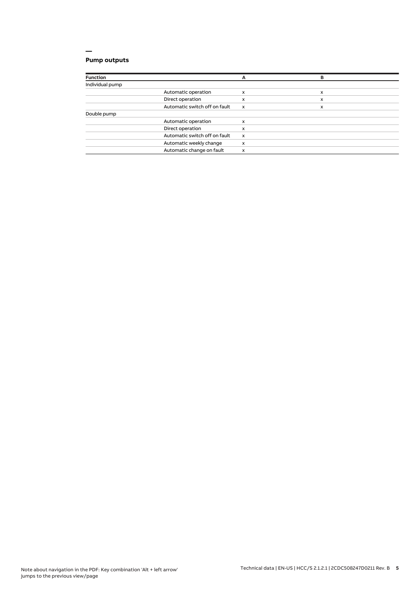## **Pump outputs**

| <b>Function</b> |                               | А                         | в |  |
|-----------------|-------------------------------|---------------------------|---|--|
| Individual pump |                               |                           |   |  |
|                 | Automatic operation           | x                         | x |  |
|                 | Direct operation              | x                         | x |  |
|                 | Automatic switch off on fault | $\boldsymbol{\mathsf{x}}$ | x |  |
| Double pump     |                               |                           |   |  |
|                 | Automatic operation           | x                         |   |  |
|                 | Direct operation              | x                         |   |  |
|                 | Automatic switch off on fault | $\boldsymbol{\mathsf{x}}$ |   |  |
|                 | Automatic weekly change       | x                         |   |  |
|                 | Automatic change on fault     | x                         |   |  |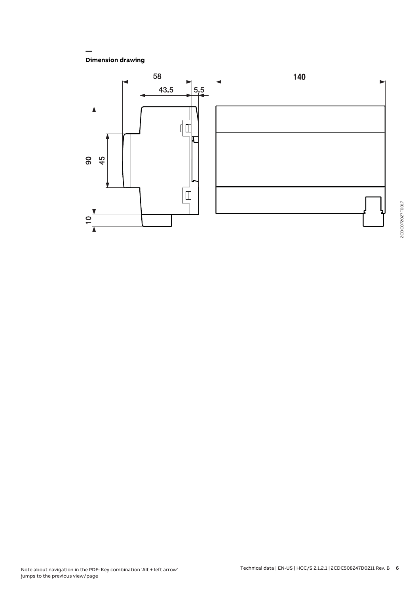**Dimension drawing**

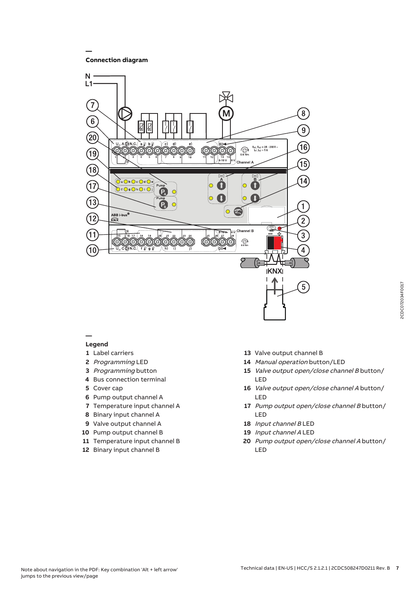**Connection diagram**

**—**



#### **— Legend**

- Label carriers
- Programming LED
- Programming button
- Bus connection terminal
- Cover cap
- Pump output channel A
- Temperature input channel A
- Binary input channel A
- Valve output channel A
- Pump output channel B
- Temperature input channel B
- Binary input channel B
- Valve output channel B
- Manual operation button/LED
- Valve output open/close channel B button/ LED
- Valve output open/close channel A button/ LED
- Pump output open/close channel B button/ LED
- Input channel B LED
- Input channel A LED
- Pump output open/close channel A button/ LED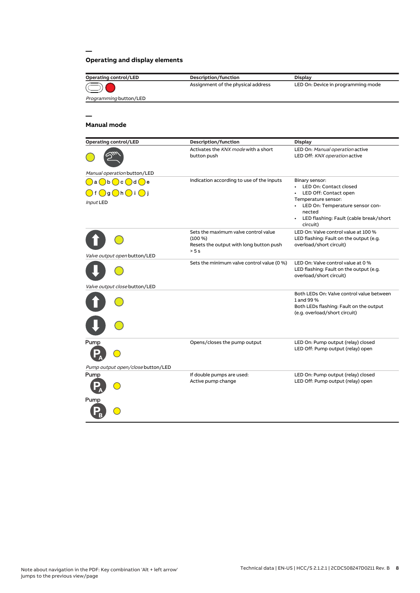## **Operating and display elements**

| <b>Operating control/LED</b>                                                                                                                      | Description/function                                                                               | <b>Display</b>                                                                                                                                                                                    |
|---------------------------------------------------------------------------------------------------------------------------------------------------|----------------------------------------------------------------------------------------------------|---------------------------------------------------------------------------------------------------------------------------------------------------------------------------------------------------|
|                                                                                                                                                   | Assignment of the physical address                                                                 | LED On: Device in programming mode                                                                                                                                                                |
| Programming button/LED                                                                                                                            |                                                                                                    |                                                                                                                                                                                                   |
|                                                                                                                                                   |                                                                                                    |                                                                                                                                                                                                   |
|                                                                                                                                                   |                                                                                                    |                                                                                                                                                                                                   |
| <b>Manual mode</b>                                                                                                                                |                                                                                                    |                                                                                                                                                                                                   |
| <b>Operating control/LED</b>                                                                                                                      | Description/function                                                                               | <b>Display</b>                                                                                                                                                                                    |
|                                                                                                                                                   | Activates the KNX mode with a short<br>button push                                                 | LED On: Manual operation active<br>LED Off: KNX operation active                                                                                                                                  |
| Manual operation button/LED                                                                                                                       |                                                                                                    |                                                                                                                                                                                                   |
| $\bigcirc$ a $\bigcirc$ b $\bigcirc$ c $\bigcirc$ d $\bigcirc$ e<br>$\bigcirc$ f $\bigcirc$ g $\bigcirc$ h $\bigcirc$ i $\bigcirc$ j<br>Input LED | Indication according to use of the inputs                                                          | Binary sensor:<br>• LED On: Contact closed<br>LED Off: Contact open<br>Temperature sensor:<br>• LED On: Temperature sensor con-<br>nected<br>• LED flashing: Fault (cable break/short<br>circuit) |
|                                                                                                                                                   | Sets the maximum valve control value<br>(100 %)<br>Resets the output with long button push<br>> 5s | LED On: Valve control value at 100 %<br>LED flashing: Fault on the output (e.g.<br>overload/short circuit)                                                                                        |
| Valve output open button/LED                                                                                                                      |                                                                                                    |                                                                                                                                                                                                   |
|                                                                                                                                                   | Sets the minimum valve control value (0 %)                                                         | LED On: Valve control value at 0 %<br>LED flashing: Fault on the output (e.g.<br>overload/short circuit)                                                                                          |
| Valve output close button/LED                                                                                                                     |                                                                                                    |                                                                                                                                                                                                   |
|                                                                                                                                                   |                                                                                                    | Both LEDs On: Valve control value between<br>1 and 99 %<br>Both LEDs flashing: Fault on the output<br>(e.g. overload/short circuit)                                                               |
| Pump                                                                                                                                              | Opens/closes the pump output                                                                       | LED On: Pump output (relay) closed<br>LED Off: Pump output (relay) open                                                                                                                           |
| Pump output open/close button/LED                                                                                                                 |                                                                                                    |                                                                                                                                                                                                   |
| Pump                                                                                                                                              | If double pumps are used:<br>Active pump change                                                    | LED On: Pump output (relay) closed<br>LED Off: Pump output (relay) open                                                                                                                           |
| Pump                                                                                                                                              |                                                                                                    |                                                                                                                                                                                                   |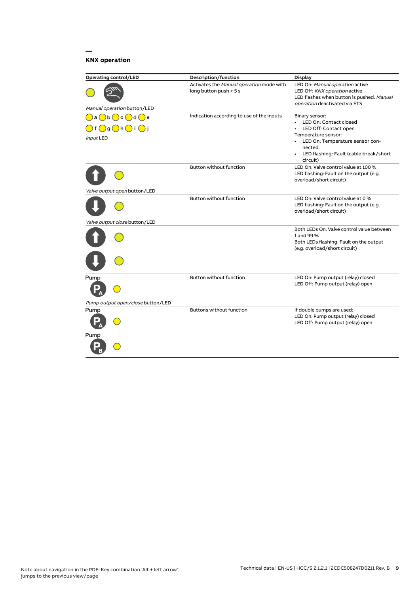## **KNX operation**

| <b>Operating control/LED</b>                                    | <b>Description/function</b>                                        | <b>Display</b>                                                                                                                                 |
|-----------------------------------------------------------------|--------------------------------------------------------------------|------------------------------------------------------------------------------------------------------------------------------------------------|
| Manual operation button/LED                                     | Activates the Manual operation mode with<br>long button push > 5 s | LED On: Manual operation active<br>LED Off: KNX operation active<br>LED flashes when button is pushed: Manual<br>operation deactivated via ETS |
| a()b()c()d()e                                                   | Indication according to use of the inputs                          | Binary sensor:                                                                                                                                 |
| $\bigcap$ f $\bigcirc$ g $\bigcirc$ h $\bigcirc$ i $\bigcirc$ j |                                                                    | • LED On: Contact closed<br>LED Off: Contact open                                                                                              |
| Input LED                                                       |                                                                    | Temperature sensor:<br>• LED On: Temperature sensor con-<br>nected<br>• LED flashing: Fault (cable break/short<br>circuit)                     |
| Valve output open button/LED                                    | <b>Button without function</b>                                     | LED On: Valve control value at 100 %<br>LED flashing: Fault on the output (e.g.<br>overload/short circuit)                                     |
|                                                                 | <b>Button without function</b>                                     | LED On: Valve control value at 0 %<br>LED flashing: Fault on the output (e.g.<br>overload/short circuit)                                       |
| Valve output close button/LED                                   |                                                                    |                                                                                                                                                |
|                                                                 |                                                                    | Both LEDs On: Valve control value between<br>1 and 99 %<br>Both LEDs flashing: Fault on the output<br>(e.g. overload/short circuit)            |
|                                                                 |                                                                    |                                                                                                                                                |
| Pump                                                            | <b>Button without function</b>                                     | LED On: Pump output (relay) closed<br>LED Off: Pump output (relay) open                                                                        |
| Pump output open/close button/LED                               |                                                                    |                                                                                                                                                |
| Pump                                                            | <b>Buttons without function</b>                                    | If double pumps are used:<br>LED On: Pump output (relay) closed<br>LED Off: Pump output (relay) open                                           |
| Pump                                                            |                                                                    |                                                                                                                                                |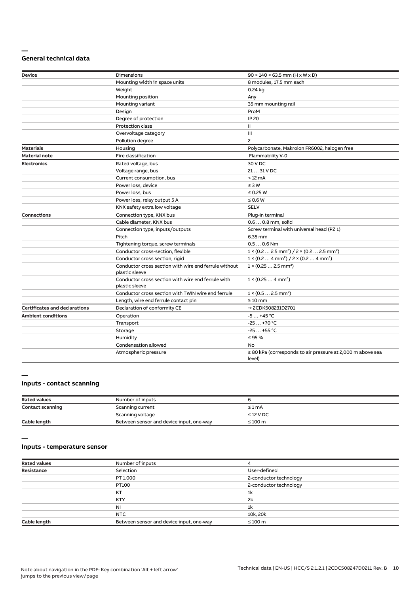#### **— General technical data**

| <b>Device</b>                        | <b>Dimensions</b>                                                       | $90 \times 140 \times 63.5$ mm (H x W x D)                                        |
|--------------------------------------|-------------------------------------------------------------------------|-----------------------------------------------------------------------------------|
|                                      | Mounting width in space units                                           | 8 modules, 17.5 mm each                                                           |
|                                      | Weight                                                                  | 0.24 kg                                                                           |
|                                      | Mounting position                                                       | Any                                                                               |
|                                      | Mounting variant                                                        | 35 mm mounting rail                                                               |
|                                      | Design                                                                  | ProM                                                                              |
|                                      | Degree of protection                                                    | <b>IP 20</b>                                                                      |
|                                      | <b>Protection class</b>                                                 | Ш                                                                                 |
|                                      | Overvoltage category                                                    | Ш                                                                                 |
|                                      | Pollution degree                                                        | $\overline{c}$                                                                    |
| <b>Materials</b>                     | Housing                                                                 | Polycarbonate, Makrolon FR6002, halogen free                                      |
| <b>Material note</b>                 | <b>Fire classification</b>                                              | Flammability V-0                                                                  |
| <b>Electronics</b>                   | Rated voltage, bus                                                      | 30 V DC                                                                           |
|                                      | Voltage range, bus                                                      | 21  31 V DC                                                                       |
|                                      | Current consumption, bus                                                | $< 12 \text{ mA}$                                                                 |
|                                      | Power loss, device                                                      | $\leq 3 W$                                                                        |
|                                      | Power loss, bus                                                         | $\leq$ 0.25 W                                                                     |
|                                      | Power loss, relay output 5 A                                            | $\leq 0.6 W$                                                                      |
|                                      | KNX safety extra low voltage                                            | <b>SELV</b>                                                                       |
| <b>Connections</b>                   | Connection type, KNX bus                                                | Plug-in terminal                                                                  |
|                                      | Cable diameter, KNX bus                                                 | 0.6  0.8 mm, solid                                                                |
|                                      | Connection type, inputs/outputs                                         | Screw terminal with universal head (PZ 1)                                         |
|                                      | Pitch                                                                   | 6.35 mm                                                                           |
|                                      | Tightening torque, screw terminals                                      | $0.50.6$ Nm                                                                       |
|                                      | Conductor cross-section, flexible                                       | $1 \times (0.2 \ldots 2.5 \text{ mm}^2) / 2 \times (0.2 \ldots 2.5 \text{ mm}^2)$ |
|                                      | Conductor cross section, rigid                                          | $1 \times (0.2 \ldots 4 \text{ mm}^2) / 2 \times (0.2 \ldots 4 \text{ mm}^2)$     |
|                                      | Conductor cross section with wire end ferrule without<br>plastic sleeve | $1 \times (0.252.5 \text{ mm}^2)$                                                 |
|                                      | Conductor cross section with wire end ferrule with<br>plastic sleeve    | $1 \times (0.254 \text{ mm}^2)$                                                   |
|                                      | Conductor cross section with TWIN wire end ferrule                      | $1 \times (0.52.5)$ mm <sup>2</sup> )                                             |
|                                      | Length, wire end ferrule contact pin                                    | $\geq 10$ mm                                                                      |
| <b>Certificates and declarations</b> | Declaration of conformity CE                                            | → 2CDK508231D2701                                                                 |
| <b>Ambient conditions</b>            | Operation                                                               | $-5+45$ °C                                                                        |
|                                      | Transport                                                               | $-25+70 °C$                                                                       |
|                                      | Storage                                                                 | $-25+55$ °C                                                                       |
|                                      | Humidity                                                                | $\leq$ 95 %                                                                       |
|                                      | Condensation allowed                                                    | <b>No</b>                                                                         |
|                                      | Atmospheric pressure                                                    | $\geq$ 80 kPa (corresponds to air pressure at 2,000 m above sea<br>level)         |

#### **—**

## **Inputs - contact scanning**

| <b>Rated values</b>     | Number of inputs                         |                |
|-------------------------|------------------------------------------|----------------|
| <b>Contact scanning</b> | Scanning current                         | $\leq 1$ mA    |
|                         | Scanning voltage                         | $\leq$ 12 V DC |
| Cable length            | Between sensor and device input, one-way | $\leq 100$ m   |

**—**

## **Inputs - temperature sensor**

| <b>Rated values</b> | Number of inputs                         |                        |
|---------------------|------------------------------------------|------------------------|
| Resistance          | Selection                                | User-defined           |
|                     | PT 1.000                                 | 2-conductor technology |
|                     | PT100                                    | 2-conductor technology |
|                     | KT                                       | 1k                     |
|                     | <b>KTY</b>                               | 2k                     |
|                     | <b>NI</b>                                | 1k                     |
|                     | NTC                                      | 10k, 20k               |
| Cable length        | Between sensor and device input, one-way | $\leq 100$ m           |
|                     |                                          |                        |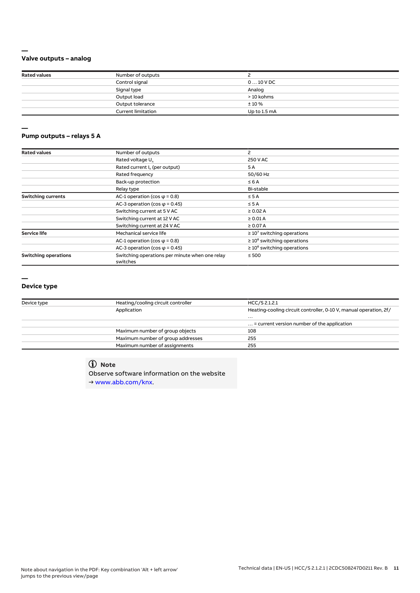## **Valve outputs – analog**

**—**

**—**

| <b>Rated values</b> | Number of outputs         |              |  |
|---------------------|---------------------------|--------------|--|
|                     | Control signal            | $010$ V DC   |  |
|                     | Signal type               | Analog       |  |
|                     | Output load               | > 10 kohms   |  |
|                     | Output tolerance          | ±10%         |  |
|                     | <b>Current limitation</b> | Up to 1.5 mA |  |

#### **Pump outputs – relays 5 A**

| <b>Rated values</b>         | Number of outputs                                          | 2                                |  |
|-----------------------------|------------------------------------------------------------|----------------------------------|--|
|                             | Rated voltage U <sub>n</sub>                               | 250 V AC                         |  |
|                             | Rated current I <sub>n</sub> (per output)                  | 5A                               |  |
|                             | Rated frequency                                            | 50/60 Hz                         |  |
|                             | Back-up protection                                         | $\leq 6$ A                       |  |
|                             | Relay type                                                 | Bi-stable                        |  |
| <b>Switching currents</b>   | AC-1 operation (cos $\varphi$ = 0.8)                       | $\leq$ 5 A                       |  |
|                             | AC-3 operation (cos $\varphi$ = 0.45)                      | $\leq$ 5 A                       |  |
|                             | Switching current at 5 V AC                                | $\geq 0.02$ A                    |  |
|                             | Switching current at 12 V AC                               | $\geq 0.01$ A                    |  |
|                             | Switching current at 24 V AC                               | $\geq$ 0.07 A                    |  |
| <b>Service life</b>         | Mechanical service life                                    | $\geq 10^7$ switching operations |  |
|                             | AC-1 operation (cos $\varphi$ = 0.8)                       | $\geq 10^6$ switching operations |  |
|                             | AC-3 operation (cos $\varphi$ = 0.45)                      | $\geq 10^6$ switching operations |  |
| <b>Switching operations</b> | Switching operations per minute when one relay<br>switches | $\leq 500$                       |  |

#### **—**

#### **Device type**

| Device type | Heating/cooling circuit controller | HCC/S 2.1.2.1                                                     |  |
|-------------|------------------------------------|-------------------------------------------------------------------|--|
|             | Application                        | Heating-cooling circuit controller, 0-10 V, manual operation, 2f/ |  |
|             |                                    | $\cdots$                                                          |  |
|             |                                    | $\ldots$ = current version number of the application              |  |
|             | Maximum number of group objects    | 108                                                               |  |
|             | Maximum number of group addresses  | 255                                                               |  |
|             | Maximum number of assignments      | 255                                                               |  |
|             |                                    |                                                                   |  |

## **Note**

Observe software information on the website → www.abb.com/knx.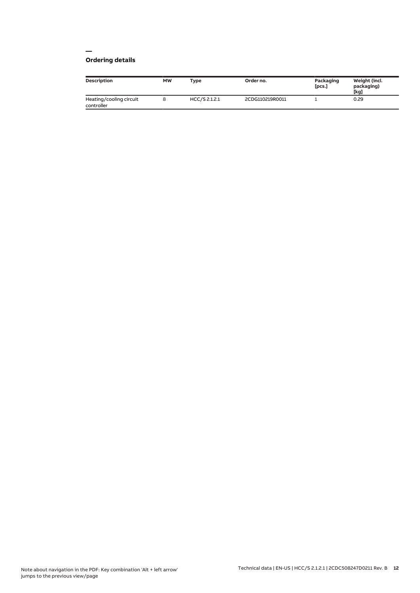## **Ordering details**

| Description                           | MW | <b>Type</b>   | Order no.       | Packaging<br>[pcs.] | Weight (incl.<br>packaging)<br>[kg] |
|---------------------------------------|----|---------------|-----------------|---------------------|-------------------------------------|
| Heating/cooling circuit<br>controller |    | HCC/S 2.1.2.1 | 2CDG110219R0011 |                     | 0.29                                |